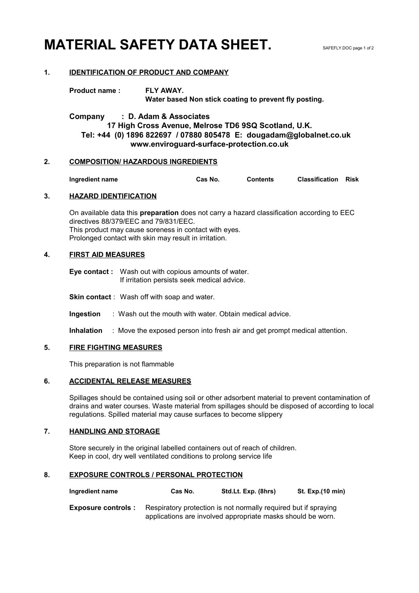# **MATERIAL SAFETY DATA SHEET.** SAFEFLY.DOC page 1 of 2

#### **1. IDENTIFICATION OF PRODUCT AND COMPANY**

**Product name : FLY AWAY. Water based Non stick coating to prevent fly posting.**

**Company : D. Adam & Associates 17 High Cross Avenue, Melrose TD6 9SQ Scotland, U.K. Tel: +44 (0) 1896 822697 / 07880 805478 E: dougadam@globalnet.co.uk www.enviroguard-surface-protection.co.uk**

#### **2. COMPOSITION/ HAZARDOUS INGREDIENTS**

**Ingredient name Cas No. Contents Classification Risk**

#### **3. HAZARD IDENTIFICATION**

On available data this **preparation** does not carry a hazard classification according to EEC directives 88/379/EEC and 79/831/EEC. This product may cause soreness in contact with eyes. Prolonged contact with skin may result in irritation.

#### **4. FIRST AID MEASURES**

**Eye contact :** Wash out with copious amounts of water. If irritation persists seek medical advice.

**Skin contact** : Wash off with soap and water.

**Ingestion** : Wash out the mouth with water. Obtain medical advice.

**Inhalation** : Move the exposed person into fresh air and get prompt medical attention.

#### **5. FIRE FIGHTING MEASURES**

This preparation is not flammable

#### **6. ACCIDENTAL RELEASE MEASURES**

Spillages should be contained using soil or other adsorbent material to prevent contamination of drains and water courses. Waste material from spillages should be disposed of according to local regulations. Spilled material may cause surfaces to become slippery

#### **7. HANDLING AND STORAGE**

Store securely in the original labelled containers out of reach of children. Keep in cool, dry well ventilated conditions to prolong service life

#### **8. EXPOSURE CONTROLS / PERSONAL PROTECTION**

| Ingredient name | Cas No. | Std.Lt. Exp. (8hrs) | St. Exp.(10 min) |
|-----------------|---------|---------------------|------------------|
|-----------------|---------|---------------------|------------------|

**Exposure controls :** Respiratory protection is not normally required but if spraying applications are involved appropriate masks should be worn.